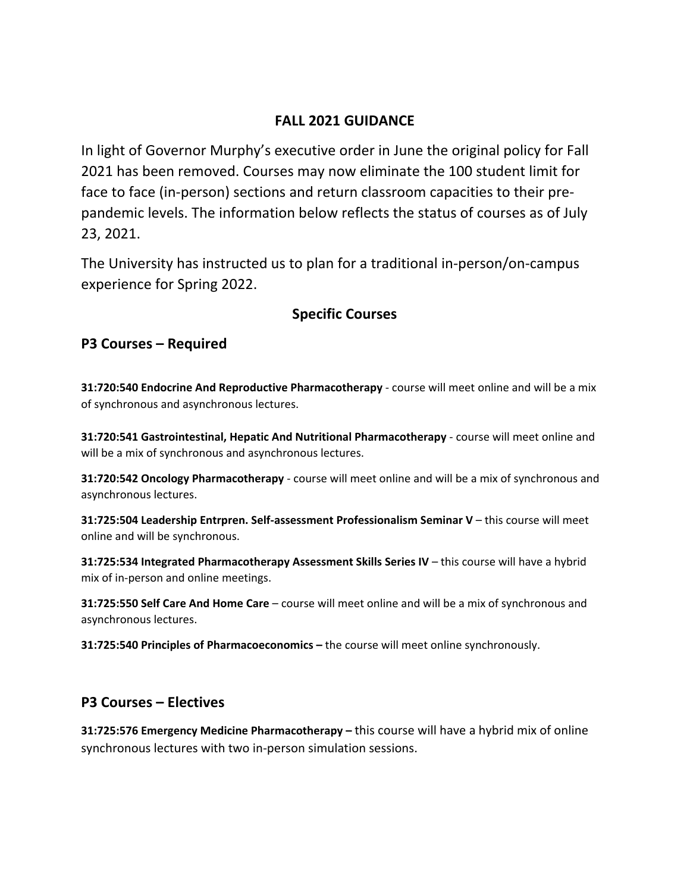## **FALL 2021 GUIDANCE**

In light of Governor Murphy's executive order in June the original policy for Fall 2021 has been removed. Courses may now eliminate the 100 student limit for face to face (in‐person) sections and return classroom capacities to their pre‐ pandemic levels. The information below reflects the status of courses as of July 23, 2021.

The University has instructed us to plan for a traditional in‐person/on‐campus experience for Spring 2022.

## **Specific Courses**

### **P3 Courses – Required**

**31:720:540 Endocrine And Reproductive Pharmacotherapy** ‐ course will meet online and will be a mix of synchronous and asynchronous lectures.

**31:720:541 Gastrointestinal, Hepatic And Nutritional Pharmacotherapy** ‐ course will meet online and will be a mix of synchronous and asynchronous lectures.

**31:720:542 Oncology Pharmacotherapy** ‐ course will meet online and will be a mix of synchronous and asynchronous lectures.

**31:725:504 Leadership Entrpren. Self‐assessment Professionalism Seminar V** – this course will meet online and will be synchronous.

**31:725:534 Integrated Pharmacotherapy Assessment Skills Series IV** – this course will have a hybrid mix of in‐person and online meetings.

**31:725:550 Self Care And Home Care** – course will meet online and will be a mix of synchronous and asynchronous lectures.

**31:725:540 Principles of Pharmacoeconomics –** the course will meet online synchronously.

# **P3 Courses – Electives**

**31:725:576 Emergency Medicine Pharmacotherapy –** this course will have a hybrid mix of online synchronous lectures with two in‐person simulation sessions.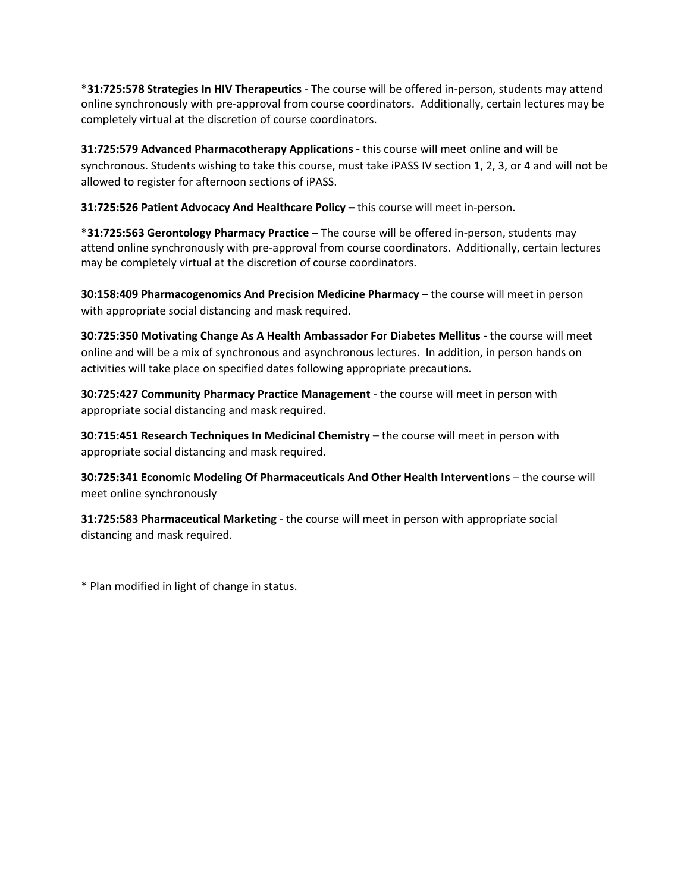**\*31:725:578 Strategies In HIV Therapeutics** ‐ The course will be offered in‐person, students may attend online synchronously with pre‐approval from course coordinators. Additionally, certain lectures may be completely virtual at the discretion of course coordinators.

**31:725:579 Advanced Pharmacotherapy Applications ‐** this course will meet online and will be synchronous. Students wishing to take this course, must take iPASS IV section 1, 2, 3, or 4 and will not be allowed to register for afternoon sections of iPASS.

**31:725:526 Patient Advocacy And Healthcare Policy –** this course will meet in‐person.

**\*31:725:563 Gerontology Pharmacy Practice –** The course will be offered in‐person, students may attend online synchronously with pre‐approval from course coordinators. Additionally, certain lectures may be completely virtual at the discretion of course coordinators.

**30:158:409 Pharmacogenomics And Precision Medicine Pharmacy** – the course will meet in person with appropriate social distancing and mask required.

**30:725:350 Motivating Change As A Health Ambassador For Diabetes Mellitus ‐** the course will meet online and will be a mix of synchronous and asynchronous lectures. In addition, in person hands on activities will take place on specified dates following appropriate precautions.

**30:725:427 Community Pharmacy Practice Management** ‐ the course will meet in person with appropriate social distancing and mask required.

**30:715:451 Research Techniques In Medicinal Chemistry –** the course will meet in person with appropriate social distancing and mask required.

**30:725:341 Economic Modeling Of Pharmaceuticals And Other Health Interventions** – the course will meet online synchronously

**31:725:583 Pharmaceutical Marketing** ‐ the course will meet in person with appropriate social distancing and mask required.

\* Plan modified in light of change in status.